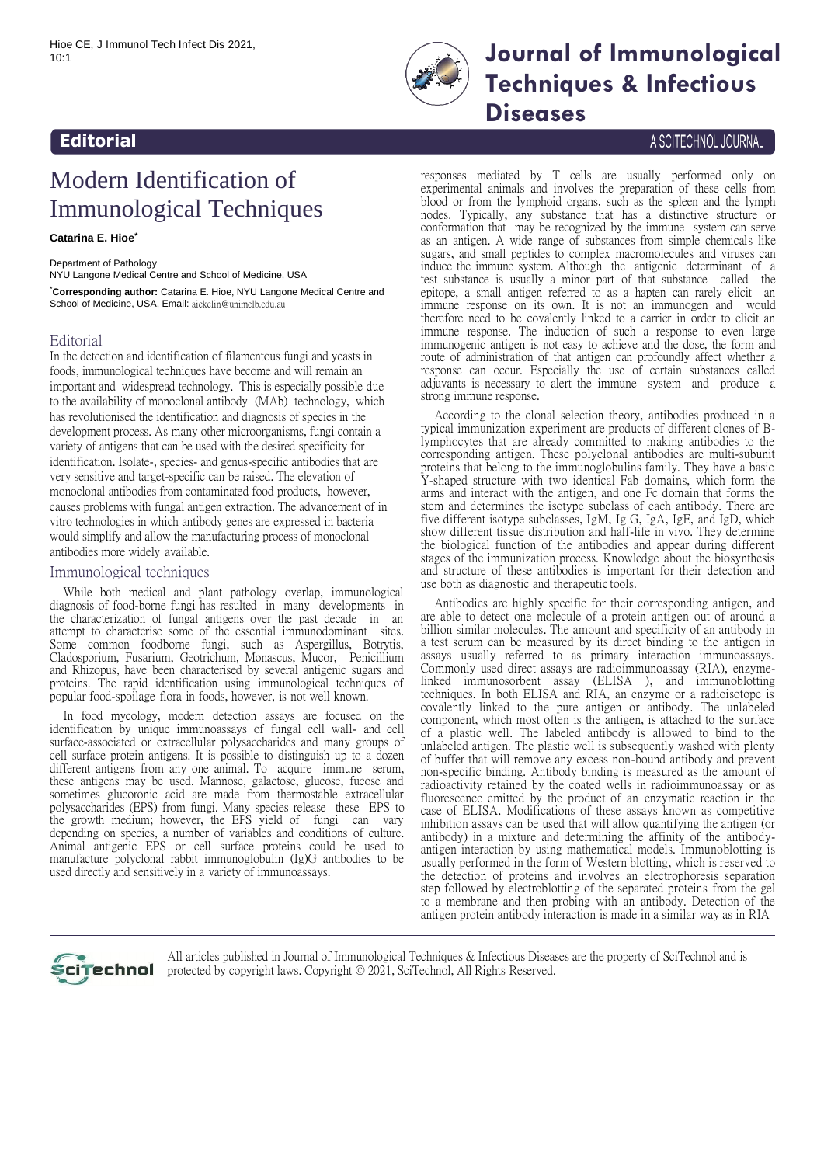

## **10:1 Journal of Immunoliech Imect DIS 2021**, **Techniques & Infectious**

**Diseases**

#### A SCITECHNOL JOURNAL

# Modern Identification of Immunological Techniques

**Catarina E. Hioe\***

**Editorial** 

Department of Pathology NYU Langone Medical Centre and School of Medicine, USA

\***Corresponding author:** Catarina E. Hioe, NYU Langone Medical Centre and School of Medicine, USA, Email: [aickelin@unimelb.edu.au](mailto:aickelin@unimelb.edu.au)

### Editorial

In the detection and identification of filamentous fungi and yeasts in foods, immunological techniques have become and will remain an important and widespread technology. This is especially possible due to the availability of monoclonal antibody (MAb) technology, which has revolutionised the identification and diagnosis of species in the development process. As many other microorganisms, fungi contain a variety of antigens that can be used with the desired specificity for identification. Isolate-, species- and genus-specific antibodies that are very sensitive and target-specific can be raised. The elevation of monoclonal antibodies from contaminated food products, however, causes problems with fungal antigen extraction. The advancement of in vitro technologies in which antibody genes are expressed in bacteria would simplify and allow the manufacturing process of monoclonal antibodies more widely available.

### Immunological techniques

While both medical and plant pathology overlap, immunological diagnosis of food-borne fungi has resulted in many developments in the characterization of fungal antigens over the past decade in an attempt to characterise some of the essential immunodominant sites. Some common foodborne fungi, such as Aspergillus, Botrytis, Cladosporium, Fusarium, Geotrichum, Monascus, Mucor, Penicillium and Rhizopus, have been characterised by several antigenic sugars and proteins. The rapid identification using immunological techniques of popular food-spoilage flora in foods, however, is not well known.

In food mycology, modern detection assays are focused on the identification by unique immunoassays of fungal cell wall- and cell surface-associated or extracellular polysaccharides and many groups of cell surface protein antigens. It is possible to distinguish up to a dozen different antigens from any one animal. To acquire immune serum, these antigens may be used. Mannose, galactose, glucose, fucose and sometimes glucoronic acid are made from thermostable extracellular polysaccharides (EPS) from fungi. Many species release these EPS to the growth medium; however, the EPS yield of fungi can vary depending on species, a number of variables and conditions of culture. Animal antigenic EPS or cell surface proteins could be used to manufacture polyclonal rabbit immunoglobulin (Ig)G antibodies to be used directly and sensitively in a variety of immunoassays.

responses mediated by T cells are usually performed only on experimental animals and involves the preparation of these cells from blood or from the lymphoid organs, such as the spleen and the lymph nodes. Typically, any substance that has a distinctive structure or conformation that may be recognized by the immune system can serve as an antigen. A wide range of substances from simple chemicals like sugars, and small peptides to complex macromolecules and viruses can induce the immune system. Although the antigenic determinant of a test substance is usually a minor part of that substance called the epitope, a small antigen referred to as a hapten can rarely elicit an immune response on its own. It is not an immunogen and would therefore need to be covalently linked to a carrier in order to elicit an immune response. The induction of such a response to even large immunogenic antigen is not easy to achieve and the dose, the form and route of administration of that antigen can profoundly affect whether a response can occur. Especially the use of certain substances called adjuvants is necessary to alert the immune system and produce a strong immune response.

According to the clonal selection theory, antibodies produced in a typical immunization experiment are products of different clones of Blymphocytes that are already committed to making antibodies to the corresponding antigen. These polyclonal antibodies are multi-subunit proteins that belong to the immunoglobulins family. They have a basic Y-shaped structure with two identical Fab domains, which form the arms and interact with the antigen, and one Fc domain that forms the stem and determines the isotype subclass of each antibody. There are five different isotype subclasses, IgM, Ig G, IgA, IgE, and IgD, which show different tissue distribution and half-life in vivo. They determine the biological function of the antibodies and appear during different stages of the immunization process. Knowledge about the biosynthesis and structure of these antibodies is important for their detection and use both as diagnostic and therapeutic tools.

Antibodies are highly specific for their corresponding antigen, and are able to detect one molecule of a protein antigen out of around a billion similar molecules. The amount and specificity of an antibody in a test serum can be measured by its direct binding to the antigen in assays usually referred to as primary interaction immunoassays. Commonly used direct assays are radioimmunoassay (RIA), enzymelinked immunosorbent assay (ELISA ), and immunoblotting techniques. In both ELISA and RIA, an enzyme or a radioisotope is covalently linked to the pure antigen or antibody. The unlabeled component, which most often is the antigen, is attached to the surface of a plastic well. The labeled antibody is allowed to bind to the unlabeled antigen. The plastic well is subsequently washed with plenty of buffer that will remove any excess non-bound antibody and prevent non-specific binding. Antibody binding is measured as the amount of radioactivity retained by the coated wells in radioimmunoassay or as fluorescence emitted by the product of an enzymatic reaction in the case of ELISA. Modifications of these assays known as competitive inhibition assays can be used that will allow quantifying the antigen (or antibody) in a mixture and determining the affinity of the antibodyantigen interaction by using mathematical models. Immunoblotting is usually performed in the form of Western blotting, which is reserved to the detection of proteins and involves an electrophoresis separation step followed by electroblotting of the separated proteins from the gel to a membrane and then probing with an antibody. Detection of the antigen protein antibody interaction is made in a similar way as in RIA



All articles published in Journal of Immunological Techniques & Infectious Diseases are the property of SciTechnol and is protected by copyright laws. Copyright © 2021, SciTechnol, All Rights Reserved.